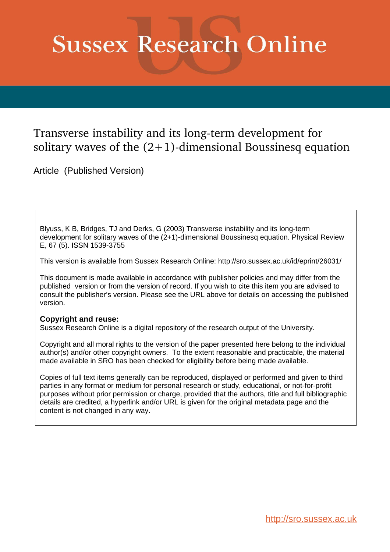# **Sussex Research Online**

# Transverse instability and its long-term development for solitary waves of the  $(2+1)$ -dimensional Boussinesq equation

Article (Published Version)

Blyuss, K B, Bridges, TJ and Derks, G (2003) Transverse instability and its long-term development for solitary waves of the (2+1)-dimensional Boussinesq equation. Physical Review E, 67 (5). ISSN 1539-3755

This version is available from Sussex Research Online: http://sro.sussex.ac.uk/id/eprint/26031/

This document is made available in accordance with publisher policies and may differ from the published version or from the version of record. If you wish to cite this item you are advised to consult the publisher's version. Please see the URL above for details on accessing the published version.

## **Copyright and reuse:**

Sussex Research Online is a digital repository of the research output of the University.

Copyright and all moral rights to the version of the paper presented here belong to the individual author(s) and/or other copyright owners. To the extent reasonable and practicable, the material made available in SRO has been checked for eligibility before being made available.

Copies of full text items generally can be reproduced, displayed or performed and given to third parties in any format or medium for personal research or study, educational, or not-for-profit purposes without prior permission or charge, provided that the authors, title and full bibliographic details are credited, a hyperlink and/or URL is given for the original metadata page and the content is not changed in any way.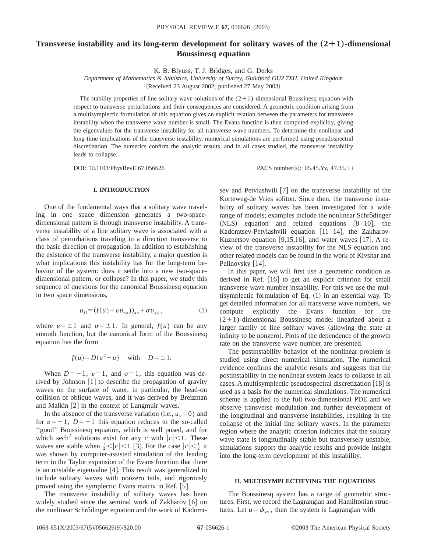### **Transverse instability and its long-term development for solitary waves of the**  $(2+1)$ **-dimensional Boussinesq equation**

K. B. Blyuss, T. J. Bridges, and G. Derks

*Department of Mathematics & Statistics, University of Surrey, Guildford GU2 7XH, United Kingdom*  $(Received 23 August 2002; published 27 May 2003)$ 

The stability properties of line solitary wave solutions of the  $(2+1)$ -dimensional Boussinesq equation with respect to transverse perturbations and their consequences are considered. A geometric condition arising from a multisymplectic formulation of this equation gives an explicit relation between the parameters for transverse instability when the transverse wave number is small. The Evans function is then computed explicitly, giving the eigenvalues for the transverse instability for all transverse wave numbers. To determine the nonlinear and long-time implications of the transverse instability, numerical simulations are performed using pseudospectral discretization. The numerics confirm the analytic results, and in all cases studied, the transverse instability leads to collapse.

DOI: 10.1103/PhysRevE.67.056626 PACS number(s): 05.45.Yv, 47.35.+i

#### **I. INTRODUCTION**

One of the fundamental ways that a solitary wave traveling in one space dimension generates a two-spacedimensional pattern is through transverse instability. A transverse instability of a line solitary wave is associated with a class of perturbations traveling in a direction transverse to the basic direction of propagation. In addition to establishing the existence of the transverse instability, a major question is what implications this instability has for the long-term behavior of the system: does it settle into a new two-spacedimensional pattern, or collapse? In this paper, we study this sequence of questions for the canonical Boussinesq equation in two space dimensions,

$$
u_{tt} = (f(u) + \varepsilon u_{xx}))_{xx} + \sigma u_{yy}, \qquad (1)
$$

where  $\varepsilon = \pm 1$  and  $\sigma = \pm 1$ . In general,  $f(u)$  can be any smooth function, but the canonical form of the Boussinesq equation has the form

$$
f(u) = D(u^2 - u) \quad \text{with} \quad D = \pm 1.
$$

When  $D=-1$ ,  $\varepsilon=1$ , and  $\sigma=1$ , this equation was derived by Johnson  $[1]$  to describe the propagation of gravity waves on the surface of water, in particular, the head-on collision of oblique waves, and it was derived by Breizman and Malkin  $[2]$  in the context of Langmuir waves.

In the absence of the transverse variation (i.e.,  $u_y=0$ ) and for  $\varepsilon = -1$ ,  $D = -1$  this equation reduces to the so-called ''good'' Boussinesq equation, which is well posed, and for which sech<sup>2</sup> solutions exist for any *c* with  $|c|$  < 1. These waves are stable when  $\frac{1}{2} < |c| < 1$  [3]. For the case  $|c| < \frac{1}{2}$  it was shown by computer-assisted simulation of the leading term in the Taylor expansion of the Evans function that there is an unstable eigenvalue  $[4]$ . This result was generalized to include solitary waves with nonzero tails, and rigorously proved using the symplectic Evans matrix in Ref. [5].

The transverse instability of solitary waves has been widely studied since the seminal work of Zakharov  $\lceil 6 \rceil$  on the nonlinear Schrödinger equation and the work of Kadomtsev and Petviashvili  $[7]$  on the transverse instability of the Korteweg-de Vries soliton. Since then, the transverse instability of solitary waves has been investigated for a wide range of models; examples include the nonlinear Schrödinger  $(NLS)$  equation and related equations  $[8-10]$ , the Kadomtsev-Petviashvili equation  $[11-14]$ , the Zakharov-Kuznetsov equation  $[9,15,16]$ , and water waves  $[17]$ . A review of the transverse instability for the NLS equation and other related models can be found in the work of Kivshar and Pelinovsky [14].

In this paper, we will first use a geometric condition as derived in Ref.  $[16]$  to get an explicit criterion for small transverse wave number instability. For this we use the multisymplectic formulation of Eq.  $(1)$  in an essential way. To get detailed information for all transverse wave numbers, we compute explicitly the Evans function for the  $(2+1)$ -dimensional Boussinesq model linearized about a larger family of line solitary waves (allowing the state at infinity to be nonzero). Plots of the dependence of the growth rate on the transverse wave number are presented.

The postinstability behavior of the nonlinear problem is studied using direct numerical simulation. The numerical evidence confirms the analytic results and suggests that the postinstability in the nonlinear system leads to collapse in all cases. A multisymplectic pseudospectral discretization  $[18]$  is used as a basis for the numerical simulations. The numerical scheme is applied to the full two-dimensional PDE and we observe transverse modulation and further development of the longitudinal and transverse instabilities, resulting in the collapse of the initial line solitary waves. In the parameter region where the analytic criterion indicates that the solitary wave state is longitudinally stable but transversely unstable, simulations support the analytic results and provide insight into the long-term development of this instability.

#### **II. MULTISYMPLECTIFYING THE EQUATIONS**

The Boussinesq system has a range of geometric structures. First, we record the Lagrangian and Hamiltonian structures. Let  $u = \phi_{xx}$ , then the system is Lagrangian with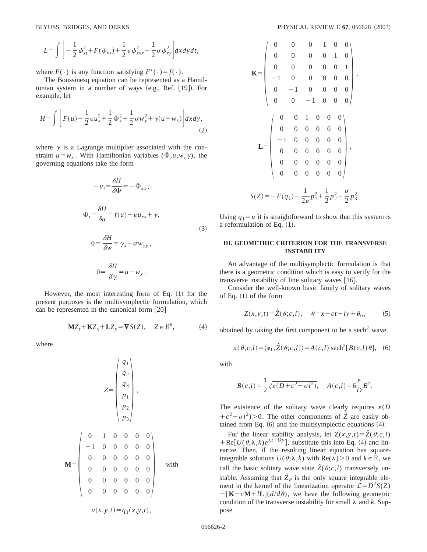$$
L = \int \left[ -\frac{1}{2} \phi_{xt}^2 + F(\phi_{xx}) + \frac{1}{2} \varepsilon \phi_{xxx}^2 + \frac{1}{2} \sigma \phi_{xy}^2 \right] dx dy dt,
$$

where  $F(\cdot)$  is any function satisfying  $F'(\cdot) = f(\cdot)$ .

The Boussinesq equation can be represented as a Hamiltonian system in a number of ways  $(e.g., Ref. [19])$ . For example, let

$$
H = \int \left[ F(u) - \frac{1}{2} \varepsilon u_x^2 + \frac{1}{2} \Phi_x^2 + \frac{1}{2} \sigma w_y^2 + \gamma (u - w_x) \right] dx dy, \tag{2}
$$

where  $\gamma$  is a Lagrange multiplier associated with the constraint  $u = w<sub>x</sub>$ . With Hamiltonian variables ( $\Phi, u, w, \gamma$ ), the governing equations take the form

$$
-u_t = \frac{\delta H}{\delta \Phi} = -\Phi_{xx},
$$
  
\n
$$
\Phi_t = \frac{\delta H}{\delta u} = f(u) + \varepsilon u_{xx} + \gamma,
$$
  
\n
$$
0 = \frac{\delta H}{\delta w} = \gamma_x - \sigma w_{yy},
$$
  
\n
$$
0 = \frac{\delta H}{\delta \gamma} = u - w_x.
$$
\n(3)

However, the most interesting form of Eq.  $(1)$  for the present purposes is the multisymplectic formulation, which can be represented in the canonical form  $[20]$ 

$$
\mathbf{M}Z_t + \mathbf{K}Z_x + \mathbf{L}Z_y = \nabla S(Z), \quad Z \in \mathbb{R}^6,
$$
 (4)

where

$$
\mathbf{M} = \begin{pmatrix} q_1 \\ q_2 \\ q_3 \\ p_1 \\ p_2 \\ p_3 \end{pmatrix},
$$
  
\n
$$
\mathbf{M} = \begin{pmatrix} 0 & 1 & 0 & 0 & 0 & 0 \\ 0 & 1 & 0 & 0 & 0 & 0 \\ 0 & 0 & 0 & 0 & 0 & 0 \\ 0 & 0 & 0 & 0 & 0 & 0 \\ 0 & 0 & 0 & 0 & 0 & 0 \\ 0 & 0 & 0 & 0 & 0 & 0 \end{pmatrix}
$$
 with  
\n
$$
u(x, y, t) = q_1(x, y, t),
$$

$$
\mathbf{K} = \begin{pmatrix}\n0 & 0 & 0 & 1 & 0 & 0 \\
0 & 0 & 0 & 0 & 1 & 0 \\
0 & 0 & 0 & 0 & 0 & 1 \\
-1 & 0 & 0 & 0 & 0 & 0 \\
0 & -1 & 0 & 0 & 0 & 0 \\
0 & 0 & -1 & 0 & 0 & 0 \\
0 & 0 & 0 & 0 & 0 & 0 \\
-1 & 0 & 0 & 0 & 0 & 0 \\
0 & 0 & 0 & 0 & 0 & 0 \\
0 & 0 & 0 & 0 & 0 & 0 \\
0 & 0 & 0 & 0 & 0 & 0\n\end{pmatrix},
$$
\n
$$
\mathbf{L} = \begin{pmatrix}\n0 & 0 & 1 & 0 & 0 & 0 \\
0 & 0 & 0 & 0 & 0 & 0 \\
-1 & 0 & 0 & 0 & 0 & 0 \\
0 & 0 & 0 & 0 & 0 & 0 \\
0 & 0 & 0 & 0 & 0 & 0 \\
0 & 0 & 0 & 0 & 0 & 0\n\end{pmatrix},
$$
\n
$$
S(Z) = -F(q_1) - \frac{1}{2\varepsilon}p_1^2 + \frac{1}{2}p_2^2 - \frac{\sigma}{2}p_3^2.
$$

Using  $q_1 = u$  it is straightforward to show that this system is a reformulation of Eq.  $(1)$ .

#### **III. GEOMETRIC CRITERION FOR THE TRANSVERSE INSTABILITY**

An advantage of the multisymplectic formulation is that there is a geometric condition which is easy to verify for the transverse instability of line solitary waves  $[16]$ .

Consider the well-known basic family of solitary waves of Eq.  $(1)$  of the form

$$
Z(x, y, t) = \hat{Z}(\theta; c, l), \quad \theta = x - ct + ly + \theta_0,
$$
 (5)

obtained by taking the first component to be a sech<sup>2</sup> wave,

$$
u(\theta;c,l) = \langle \mathbf{e}_1, \hat{Z}(\theta;c,l) \rangle = A(c,l) \operatorname{sech}^2[B(c,l)\theta], \quad (6)
$$

with

$$
B(c,l) = \frac{1}{2}\sqrt{\varepsilon(D+c^2-\sigma l^2)}, \quad A(c,l) = 6\frac{\varepsilon}{D}B^2.
$$

The existence of the solitary wave clearly requires  $\varepsilon(D)$  $+c^2-\sigma l^2$  > 0. The other components of  $\hat{Z}$  are easily obtained from Eq.  $(6)$  and the multisymplectic equations  $(4)$ .

For the linear stability analysis, let  $Z(x, y, t) = \hat{Z}(\theta; c, l)$  $+$  Re[ $U(\theta; \lambda, k) e^{\lambda t + iky}$ ], substitute this into Eq. (4) and linearize. Then, if the resulting linear equation has squareintegrable solutions  $U(\theta; \lambda, k)$  with Re( $\lambda$ ) > 0 and  $k \in \mathbb{R}$ , we call the basic solitary wave state  $\hat{Z}(\theta; c, l)$  transversely unstable. Assuming that  $\hat{Z}_{\theta}$  is the only square integrable element in the kernel of the linearization operator  $\mathcal{L} = D^2 S(Z)$  $-\left[\mathbf{K}-c\mathbf{M}+l\mathbf{L}\right](d/d\theta)$ , we have the following geometric condition of the transverse instability for small  $\lambda$  and  $k$ . Suppose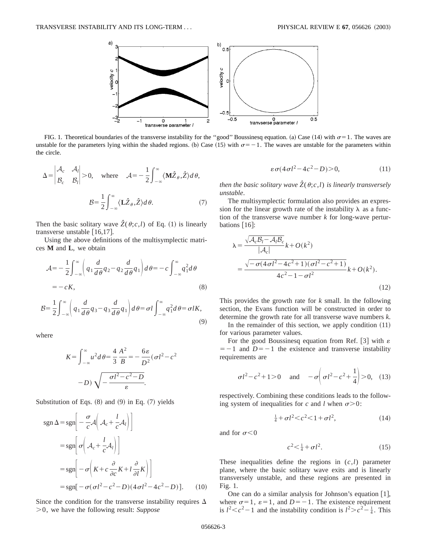

FIG. 1. Theoretical boundaries of the transverse instability for the "good" Boussinesq equation. (a) Case (14) with  $\sigma=1$ . The waves are unstable for the parameters lying within the shaded regions. (b) Case (15) with  $\sigma = -1$ . The waves are unstable for the parameters within the circle.

$$
\Delta = \begin{vmatrix} A_c & A_l \\ B_c & B_l \end{vmatrix} > 0, \text{ where } A = -\frac{1}{2} \int_{-\infty}^{\infty} \langle \mathbf{M} \hat{Z}_{\theta}, \hat{Z} \rangle d\theta,
$$

$$
\mathcal{B} = \frac{1}{2} \int_{-\infty}^{\infty} \langle \mathbf{L} \hat{Z}_{\theta}, \hat{Z} \rangle d\theta. \tag{7}
$$

Then the basic solitary wave  $\hat{Z}(\theta; c, l)$  of Eq. (1) is linearly transverse unstable  $[16,17]$ .

Using the above definitions of the multisymplectic matrices **M** and **L**, we obtain

$$
\mathcal{A} = -\frac{1}{2} \int_{-\infty}^{\infty} \left( q_1 \frac{d}{d\theta} q_2 - q_2 \frac{d}{d\theta} q_1 \right) d\theta = -c \int_{-\infty}^{\infty} q_1^2 d\theta
$$
  
= -cK, (8)

$$
\mathcal{B} = \frac{1}{2} \int_{-\infty}^{\infty} \left( q_1 \frac{d}{d\theta} q_3 - q_3 \frac{d}{d\theta} q_1 \right) d\theta = \sigma l \int_{-\infty}^{\infty} q_1^2 d\theta = \sigma l K,
$$
\n(9)

where

$$
K = \int_{-\infty}^{\infty} u^2 d\theta = \frac{4}{3} \frac{A^2}{B} = -\frac{6\varepsilon}{D^2} (\sigma l^2 - c^2)
$$

$$
-D) \sqrt{-\frac{\sigma l^2 - c^2 - D}{\varepsilon}}.
$$

Substitution of Eqs.  $(8)$  and  $(9)$  in Eq.  $(7)$  yields

$$
sgn \Delta = sgn \left[ -\frac{\sigma}{c} \mathcal{A} \left( \mathcal{A}_c + \frac{l}{c} \mathcal{A}_l \right) \right]
$$
  
\n
$$
= sgn \left[ \sigma \left( \mathcal{A}_c + \frac{l}{c} \mathcal{A}_l \right) \right]
$$
  
\n
$$
= sgn \left[ -\sigma \left( K + c \frac{\partial}{\partial c} K + l \frac{\partial}{\partial l} K \right) \right]
$$
  
\n
$$
= sgn \left[ -\sigma (\sigma l^2 - c^2 - D) (4 \sigma l^2 - 4 c^2 - D) \right].
$$
 (10)

Since the condition for the transverse instability requires  $\Delta$ .0, we have the following result: *Suppose*

$$
\varepsilon \sigma (4\sigma l^2 - 4c^2 - D) > 0,\tag{11}
$$

*then the basic solitary wave*  $\hat{Z}(\theta; c, l)$  *is linearly transversely unstable*.

The multisymplectic formulation also provides an expression for the linear growth rate of the instability  $\lambda$  as a function of the transverse wave number *k* for long-wave perturbations  $[16]$ :

$$
\lambda = \frac{\sqrt{\mathcal{A}_c \mathcal{B}_l - \mathcal{A}_l \mathcal{B}_c}}{|\mathcal{A}_c|} k + O(k^2)
$$
  
= 
$$
\frac{\sqrt{-\sigma (4\sigma l^2 - 4c^2 + 1)(\sigma l^2 - c^2 + 1)}}{4c^2 - 1 - \sigma l^2} k + O(k^2).
$$
 (12)

This provides the growth rate for *k* small. In the following section, the Evans function will be constructed in order to determine the growth rate for all transverse wave numbers *k*. In the remainder of this section, we apply condition  $(11)$ for various parameter values.

For the good Boussinesq equation from Ref. [3] with  $\varepsilon$  $=$  -1 and *D*= -1 the existence and transverse instability requirements are

$$
\sigma l^2 - c^2 + 1 > 0
$$
 and  $-\sigma \left( \sigma l^2 - c^2 + \frac{1}{4} \right) > 0$ , (13)

respectively. Combining these conditions leads to the following system of inequalities for *c* and *l* when  $\sigma > 0$ :

$$
\frac{1}{4} + \sigma l^2 < c^2 < 1 + \sigma l^2,\tag{14}
$$

and for  $\sigma$ <0

$$
c^2 < \frac{1}{4} + \sigma l^2. \tag{15}
$$

These inequalities define the regions in (*c*,*l*) parameter plane, where the basic solitary wave exits and is linearly transversely unstable, and these regions are presented in Fig. 1.

One can do a similar analysis for Johnson's equation  $[1]$ , where  $\sigma=1$ ,  $\varepsilon=1$ , and  $D=-1$ . The existence requirement is  $l^2 < c^2 - 1$  and the instability condition is  $l^2 > c^2 - \frac{1}{4}$ . This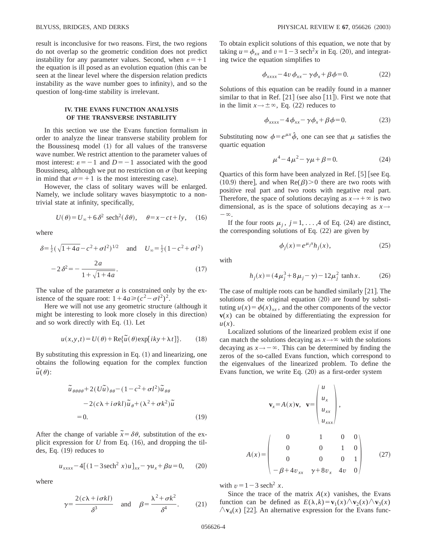result is inconclusive for two reasons. First, the two regions do not overlap so the geometric condition does not predict instability for any parameter values. Second, when  $\varepsilon = +1$ the equation is ill posed as an evolution equation (this can be seen at the linear level where the dispersion relation predicts instability as the wave number goes to infinity), and so the question of long-time stability is irrelevant.

#### **IV. THE EVANS FUNCTION ANALYSIS OF THE TRANSVERSE INSTABILITY**

In this section we use the Evans function formalism in order to analyze the linear transverse stability problem for the Boussinesq model  $(1)$  for all values of the transverse wave number. We restrict attention to the parameter values of most interest:  $\varepsilon = -1$  and  $D = -1$  associated with the good Boussinesq, although we put no restriction on  $\sigma$  (but keeping in mind that  $\sigma$ = + 1 is the most interesting case).

However, the class of solitary waves will be enlarged. Namely, we include solitary waves biasymptotic to a nontrivial state at infinity, specifically,

$$
U(\theta) = U_{\infty} + 6\,\delta^2 \text{ sech}^2(\delta\theta), \quad \theta = x - ct + ly, \quad (16)
$$

where

$$
\delta = \frac{1}{2} (\sqrt{1 + 4a} - c^2 + \sigma l^2)^{1/2} \quad \text{and} \quad U_{\infty} = \frac{1}{2} (1 - c^2 + \sigma l^2)
$$

$$
-2 \delta^2 = -\frac{2a}{1 + \sqrt{1 + 4a}}. \tag{17}
$$

The value of the parameter *a* is constrained only by the existence of the square root:  $1+4a \geqslant (c^2-\sigma l^2)^2$ .

Here we will not use any geometric structure (although it might be interesting to look more closely in this direction) and so work directly with Eq.  $(1)$ . Let

$$
u(x, y, t) = U(\theta) + \text{Re}\{\tilde{u}(\theta) \exp[iky + \lambda t]\}.
$$
 (18)

By substituting this expression in Eq.  $(1)$  and linearizing, one obtains the following equation for the complex function  $\tilde{u}(\theta)$ :

$$
\tilde{u}_{\theta\theta\theta\theta} + 2(U\tilde{u})_{\theta\theta} - (1 - c^2 + \sigma l^2) \tilde{u}_{\theta\theta}
$$

$$
- 2(c\lambda + i\sigma kl)\tilde{u}_{\theta} + (\lambda^2 + \sigma k^2)\tilde{u}
$$

$$
= 0.
$$
 (19)

After the change of variable  $\tilde{x} = \delta \theta$ , substitution of the explicit expression for  $U$  from Eq.  $(16)$ , and dropping the tildes, Eq.  $(19)$  reduces to

$$
u_{xxxx} - 4[(1 - 3\,\text{sech}^2\,x)u]_{xx} - \gamma u_x + \beta u = 0,\qquad(20)
$$

where

$$
\gamma = \frac{2(c\lambda + i\sigma k l)}{\delta^3} \quad \text{and} \quad \beta = \frac{\lambda^2 + \sigma k^2}{\delta^4}.
$$
 (21)

To obtain explicit solutions of this equation, we note that by taking  $u = \phi_{xx}$  and  $v = 1 - 3$  sech<sup>2</sup>x in Eq. (20), and integrating twice the equation simplifies to

$$
\phi_{xxxx} - 4v \phi_{xx} - \gamma \phi_x + \beta \phi = 0. \tag{22}
$$

Solutions of this equation can be readily found in a manner similar to that in Ref.  $[21]$  (see also  $[11]$ ). First we note that in the limit  $x \rightarrow \pm \infty$ , Eq. (22) reduces to

$$
\phi_{xxxx} - 4\phi_{xx} - \gamma\phi_x + \beta\phi = 0. \tag{23}
$$

Substituting now  $\phi = e^{\mu x} \hat{\phi}$ , one can see that  $\mu$  satisfies the quartic equation

$$
\mu^4 - 4\mu^2 - \gamma\mu + \beta = 0. \tag{24}
$$

Quartics of this form have been analyzed in Ref.  $[5]$  [see Eq. (10.9) there, and when  $\text{Re}(\beta)$ . of there are two roots with positive real part and two roots with negative real part. Therefore, the space of solutions decaying as  $x \rightarrow +\infty$  is two dimensional, as is the space of solutions decaying as  $x \rightarrow$  $-\infty$ .

If the four roots  $\mu_i$ ,  $j=1, \ldots, 4$  of Eq. (24) are distinct, the corresponding solutions of Eq.  $(22)$  are given by

$$
\phi_j(x) = e^{\mu_j x} h_j(x),\tag{25}
$$

with

$$
h_j(x) = (4\mu_j^3 + 8\mu_j - \gamma) - 12\mu_j^2 \tanh x.
$$
 (26)

The case of multiple roots can be handled similarly  $[21]$ . The solutions of the original equation  $(20)$  are found by substituting  $u(x) = \phi(x)_{xx}$ , and the other components of the vector  **can be obtained by differentiating the expression for** *u*(*x*).

Localized solutions of the linearized problem exist if one can match the solutions decaying as  $x \rightarrow \infty$  with the solutions decaying as  $x \rightarrow -\infty$ . This can be determined by finding the zeros of the so-called Evans function, which correspond to the eigenvalues of the linearized problem. To define the Evans function, we write Eq.  $(20)$  as a first-order system

$$
\mathbf{v}_{x} = A(x)\mathbf{v}, \quad \mathbf{v} = \begin{pmatrix} u \\ u_{x} \\ u_{xx} \\ u_{xxx} \end{pmatrix},
$$

$$
A(x) = \begin{pmatrix} 0 & 1 & 0 & 0 \\ 0 & 0 & 1 & 0 \\ 0 & 0 & 0 & 1 \\ -\beta + 4v_{xx} & \gamma + 8v_{x} & 4v & 0 \end{pmatrix}
$$
(27)

with  $v=1-3$  sech<sup>2</sup> x.

Since the trace of the matrix  $A(x)$  vanishes, the Evans function can be defined as  $E(\lambda, k) = \mathbf{v}_1(x) \wedge \mathbf{v}_2(x) \wedge \mathbf{v}_3(x)$  $\bigwedge$ **v**<sub>4</sub>(*x*) [22]. An alternative expression for the Evans func-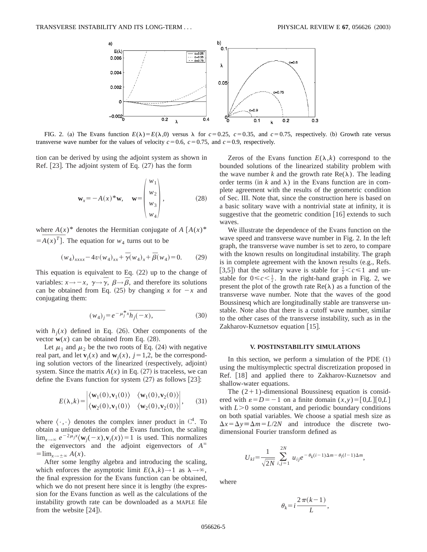

FIG. 2. (a) The Evans function  $E(\lambda) = E(\lambda,0)$  versus  $\lambda$  for  $c = 0.25$ ,  $c = 0.35$ , and  $c = 0.75$ , respectively. (b) Growth rate versus transverse wave number for the values of velocity  $c=0.6$ ,  $c=0.75$ , and  $c=0.9$ , respectively.

tion can be derived by using the adjoint system as shown in Ref.  $[23]$ . The adjoint system of Eq.  $(27)$  has the form

$$
\mathbf{w}_x = -A(x)^* \mathbf{w}, \quad \mathbf{w} = \begin{pmatrix} w_1 \\ w_2 \\ w_3 \\ w_4 \end{pmatrix}, \tag{28}
$$

where  $A(x)^*$  denotes the Hermitian conjugate of  $A [A(x)]^*$ where  $=$   $\overline{A(x)}$  $=A(x)^{T}$ . The equation for  $w_4$  turns out to be

$$
(w_4)_{xxxx} - 4v(w_4)_{xx} + \overline{\gamma}(w_4)_x + \overline{\beta}(w_4) = 0.
$$
 (29)

This equation is equivalent to Eq.  $(22)$  up to the change of variables:  $x \rightarrow -x$ ,  $\gamma \rightarrow \bar{\gamma}$ ,  $\beta \rightarrow \bar{\beta}$ , and therefore its solutions can be obtained from Eq. (25) by changing *x* for  $-x$  and conjugating them: Eq. (22)<br>  $\bar{\beta}$ , and t<br>
(b) by cha<br>  $\int_a^{\pi} x \overline{h_j(-x)}$ 

$$
(w_4)_j = e^{-\mu_j^* x} \overline{h_j(-x)},
$$
\n(30)

with  $h_i(x)$  defined in Eq. (26). Other components of the vector  $w(x)$  can be obtained from Eq.  $(28)$ .

Let  $\mu_1$  and  $\mu_2$  be the two roots of Eq. (24) with negative real part, and let  $\mathbf{v}_i(x)$  and  $\mathbf{w}_i(x)$ ,  $j=1,2$ , be the corresponding solution vectors of the linearized (respectively, adjoint) system. Since the matrix  $A(x)$  in Eq. (27) is traceless, we can define the Evans function for system  $(27)$  as follows  $[23]$ :

$$
E(\lambda, k) = \begin{vmatrix} \langle \mathbf{w}_1(0), \mathbf{v}_1(0) \rangle & \langle \mathbf{w}_1(0), \mathbf{v}_2(0) \rangle \\ \langle \mathbf{w}_2(0), \mathbf{v}_1(0) \rangle & \langle \mathbf{w}_2(0), \mathbf{v}_2(0) \rangle \end{vmatrix}, \quad (31)
$$

where  $\langle \cdot, \cdot \rangle$  denotes the complex inner product in  $\mathbb{C}^4$ . To obtain a unique definition of the Evans function, the scaling  $\lim_{x\to\infty} e^{-2\mu_j x} \langle \mathbf{w}_j(-x), \mathbf{v}_j(x) \rangle = 1$  is used. This normalizes the eigenvectors and the adjoint eigenvectors of  $A^{\infty}$  $=\lim_{x\to\pm\infty}A(x).$ 

After some lengthy algebra and introducing the scaling, which enforces the asymptotic limit  $E(\lambda, k) \rightarrow 1$  as  $\lambda \rightarrow \infty$ , the final expression for the Evans function can be obtained, which we do not present here since it is lengthy (the expression for the Evans function as well as the calculations of the instability growth rate can be downloaded as a MAPLE file from the website  $[24]$ .

Zeros of the Evans function  $E(\lambda, k)$  correspond to the bounded solutions of the linearized stability problem with the wave number k and the growth rate  $\text{Re}(\lambda)$ . The leading order terms (in  $k$  and  $\lambda$ ) in the Evans function are in complete agreement with the results of the geometric condition of Sec. III. Note that, since the construction here is based on a basic solitary wave with a nontrivial state at infinity, it is suggestive that the geometric condition  $[16]$  extends to such waves.

We illustrate the dependence of the Evans function on the wave speed and transverse wave number in Fig. 2. In the left graph, the transverse wave number is set to zero, to compare with the known results on longitudinal instability. The graph is in complete agreement with the known results (e.g., Refs.) [3,5]) that the solitary wave is stable for  $\frac{1}{2} < c \le 1$  and unstable for  $0 \leq c < \frac{1}{2}$ . In the right-hand graph in Fig. 2, we present the plot of the growth rate  $\text{Re}(\lambda)$  as a function of the transverse wave number. Note that the waves of the good Boussinesq which are longitudinally stable are transverse unstable. Note also that there is a cutoff wave number, similar to the other cases of the transverse instability, such as in the Zakharov-Kuznetsov equation  $[15]$ .

#### **V. POSTINSTABILITY SIMULATIONS**

In this section, we perform a simulation of the PDE  $(1)$ using the multisymplectic spectral discretization proposed in Ref. [18] and applied there to Zakharov-Kuznetsov and shallow-water equations.

The  $(2+1)$ -dimensional Boussinesq equation is considered with  $\varepsilon = D = -1$  on a finite domain  $(x, y) = [0, L][0, L]$ with  $L > 0$  some constant, and periodic boundary conditions on both spatial variables. We choose a spatial mesh size as  $\Delta x = \Delta y = \Delta m = L/2N$  and introduce the discrete twodimensional Fourier transform defined as

$$
U_{kl} = \frac{1}{\sqrt{2N}} \sum_{i,j=1}^{2N} u_{ij} e^{-\theta_k (i-1)\Delta m - \theta_l (l-1)\Delta m},
$$

where

$$
\theta_k = i \frac{2\,\pi(k-1)}{L},
$$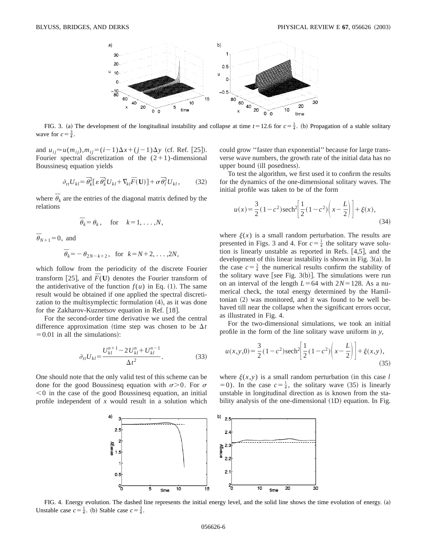

FIG. 3. (a) The development of the longitudinal instability and collapse at time  $t=12.6$  for  $c=\frac{1}{4}$ . (b) Propagation of a stable solitary wave for  $c = \frac{3}{4}$ .

and  $u_{ij} \approx u(m_{ij}), m_{ij} = (i-1)\Delta x + (j-1)\Delta y$  (cf. Ref. [25]). Fourier spectral discretization of the  $(2+1)$ -dimensional Boussinesq equation yields

$$
\partial_{tt} U_{kl} = \overline{\theta}_k^2 \left[ \varepsilon \, \overline{\theta}_k^2 U_{kl} + \nabla_{kl} \overline{F}(\mathbf{U}) \right] + \sigma \, \overline{\theta}_l^2 U_{kl},\tag{32}
$$

where  $\overline{\theta}_k$  are the entries of the diagonal matrix defined by the relations

$$
\overline{\theta}_k = \theta_k
$$
, for  $k = 1, ..., N$ ,

 $\overline{\theta}_{N+1} = 0$ , and

$$
\overline{\theta}_k = -\theta_{2N-k+2}, \text{ for } k = N+2, \ldots, 2N,
$$

which follow from the periodicity of the discrete Fourier transform [25], and  $\overline{F}(\mathbf{U})$  denotes the Fourier transform of the antiderivative of the function  $f(u)$  in Eq. (1). The same result would be obtained if one applied the spectral discretization to the multisymplectic formulation  $(4)$ , as it was done for the Zakharov-Kuznetsov equation in Ref.  $[18]$ .

For the second-order time derivative we used the central difference approximation (time step was chosen to be  $\Delta t$  $=0.01$  in all the simulations):

$$
\partial_{tt} U_{kl} = \frac{U_{kl}^{n+1} - 2U_{kl}^n + U_{kl}^{n-1}}{\Delta t^2}.
$$
 (33)

One should note that the only valid test of this scheme can be done for the good Boussinesq equation with  $\sigma > 0$ . For  $\sigma$  $<$ 0 in the case of the good Boussinesq equation, an initial profile independent of *x* would result in a solution which could grow ''faster than exponential'' because for large transverse wave numbers, the growth rate of the initial data has no upper bound (ill posedness).

To test the algorithm, we first used it to confirm the results for the dynamics of the one-dimensional solitary waves. The initial profile was taken to be of the form

$$
u(x) = \frac{3}{2}(1 - c^2)\text{sech}^2\left[\frac{1}{2}(1 - c^2)\left(x - \frac{L}{2}\right)\right] + \xi(x),\tag{34}
$$

where  $\xi(x)$  is a small random perturbation. The results are presented in Figs. 3 and 4. For  $c = \frac{1}{4}$  the solitary wave solution is linearly unstable as reported in Refs.  $[4,5]$ , and the development of this linear instability is shown in Fig.  $3(a)$ . In the case  $c=\frac{3}{4}$  the numerical results confirm the stability of the solitary wave [see Fig.  $3(b)$ ]. The simulations were run on an interval of the length  $L=64$  with  $2N=128$ . As a numerical check, the total energy determined by the Hamiltonian  $(2)$  was monitored, and it was found to be well behaved till near the collapse when the significant errors occur, as illustrated in Fig. 4.

For the two-dimensional simulations, we took an initial profile in the form of the line solitary wave uniform in *y*,

$$
u(x, y, 0) = \frac{3}{2} (1 - c^2) \operatorname{sech}^2 \left[ \frac{1}{2} (1 - c^2) \left( x - \frac{L}{2} \right) \right] + \xi(x, y),\tag{35}
$$

where  $\xi(x,y)$  is a small random perturbation (in this case *l*  $(50)$ . In the case  $c = \frac{1}{4}$ , the solitary wave  $(35)$  is linearly unstable in longitudinal direction as is known from the stability analysis of the one-dimensional  $(1D)$  equation. In Fig.



FIG. 4. Energy evolution. The dashed line represents the initial energy level, and the solid line shows the time evolution of energy. (a) Unstable case  $c = \frac{1}{4}$ . (b) Stable case  $c = \frac{3}{4}$ .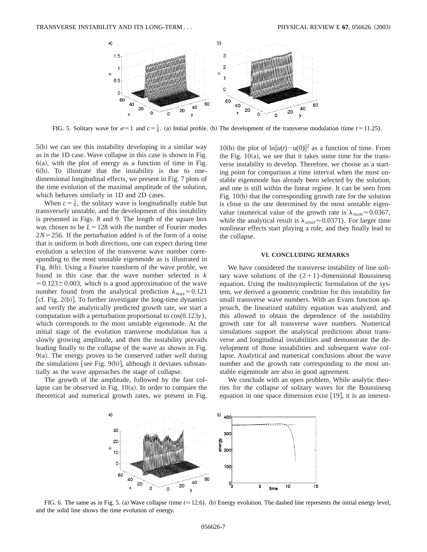

FIG. 5. Solitary wave for  $\sigma=1$  and  $c=\frac{1}{4}$ . (a) Initial profile. (b) The development of the transverse modulation (time  $t=11.25$ ).

 $5(b)$  we can see this instability developing in a similar way as in the 1D case. Wave collapse in this case is shown in Fig.  $6(a)$ , with the plot of energy as a function of time in Fig.  $6(b)$ . To illustrate that the instability is due to onedimensional longitudinal effects, we present in Fig. 7 plots of the time evolution of the maximal amplitude of the solution, which behaves similarly in 1D and 2D cases.

When  $c = \frac{3}{4}$ , the solitary wave is longitudinally stable but transversely unstable, and the development of this instability is presented in Figs. 8 and 9. The length of the square box was chosen to be  $L=128$  with the number of Fourier modes  $2N=256$ . If the perturbation added is of the form of a noise that is uniform in both directions, one can expect during time evolution a selection of the transverse wave number corresponding to the most unstable eigenmode as is illustrated in Fig.  $8(b)$ . Using a Fourier transform of the wave profile, we found in this case that the wave number selected is *k*  $=0.123\pm0.003$ , which is a good approximation of the wave number found from the analytical prediction  $k_{max} = 0.121$ [cf. Fig.  $2(b)$ ]. To further investigate the long-time dynamics and verify the analytically predicted growth rate, we start a computation with a perturbation proportional to cos(0.123*y*), which corresponds to the most unstable eigenmode. At the initial stage of the evolution transverse modulation has a slowly growing amplitude, and then the instability prevails leading finally to the collapse of the wave as shown in Fig.  $9(a)$ . The energy proves to be conserved rather well during the simulations [see Fig.  $9(b)$ ], although it deviates substantially as the wave approaches the stage of collapse.

The growth of the amplitude, followed by the fast collapse can be observed in Fig.  $10(a)$ . In order to compare the theoretical and numerical growth rates, we present in Fig.

10(b) the plot of  $\ln ||u(t) - u(0)||^2$  as a function of time. From the Fig.  $10(a)$ , we see that it takes some time for the transverse instability to develop. Therefore, we choose as a starting point for comparison a time interval when the most unstable eigenmode has already been selected by the solution, and one is still within the linear regime. It can be seen from Fig.  $10(b)$  that the corresponding growth rate for the solution is close to the one determined by the most unstable eigenvalue (numerical value of the growth rate is  $\lambda_{num} \approx 0.0367$ , while the analytical result is  $\lambda_{anal} \approx 0.0371$ ). For larger time nonlinear effects start playing a role, and they finally lead to the collapse.

#### **VI. CONCLUDING REMARKS**

We have considered the transverse instability of line solitary wave solutions of the  $(2+1)$ -dimensional Boussinesq equation. Using the multisymplectic formulation of the system, we derived a geometric condition for this instability for small transverse wave numbers. With an Evans function approach, the linearized stability equation was analyzed, and this allowed to obtain the dependence of the instability growth rate for all transverse wave numbers. Numerical simulations support the analytical predictions about transverse and longitudinal instabilities and demonstrate the development of those instabilities and subsequent wave collapse. Analytical and numerical conclusions about the wave number and the growth rate corresponding to the most unstable eigenmode are also in good agreement.

We conclude with an open problem. While analytic theories for the collapse of solitary waves for the Boussinesq equation in one space dimension exist  $[19]$ , it is an interest-



FIG. 6. The same as in Fig. 5. (a) Wave collapse (time  $t = 12.6$ ). (b) Energy evolution. The dashed line represents the initial energy level, and the solid line shows the time evolution of energy.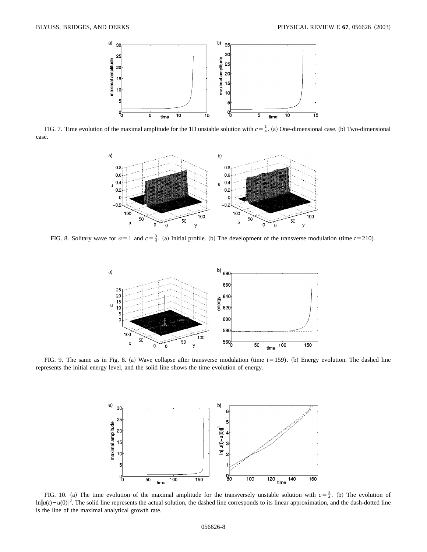

FIG. 7. Time evolution of the maximal amplitude for the 1D unstable solution with  $c = \frac{1}{4}$ . (a) One-dimensional case. (b) Two-dimensional case.



FIG. 8. Solitary wave for  $\sigma=1$  and  $c=\frac{3}{4}$ . (a) Initial profile. (b) The development of the transverse modulation (time  $t=210$ ).



FIG. 9. The same as in Fig. 8. (a) Wave collapse after transverse modulation (time  $t = 159$ ). (b) Energy evolution. The dashed line represents the initial energy level, and the solid line shows the time evolution of energy.



FIG. 10. (a) The time evolution of the maximal amplitude for the transversely unstable solution with  $c=\frac{3}{4}$ . (b) The evolution of  $\ln ||u(t) - u(0)||^2$ . The solid line represents the actual solution, the dashed line corresponds to its linear approximation, and the dash-dotted line is the line of the maximal analytical growth rate.